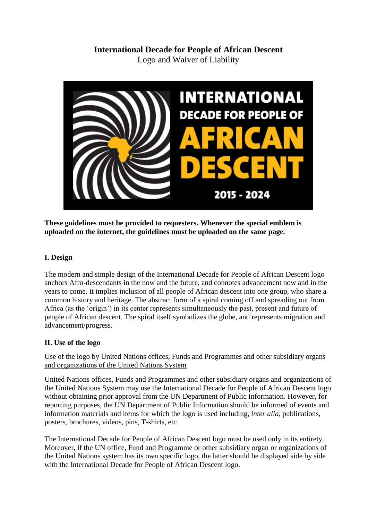# **International Decade for People of African Descent** Logo and Waiver of Liability



**These guidelines must be provided to requesters. Whenever the special emblem is uploaded on the internet, the guidelines must be uploaded on the same page.**

## **I. Design**

The modern and simple design of the International Decade for People of African Descent logo anchors Afro-descendants in the now and the future, and connotes advancement now and in the years to come. It implies inclusion of all people of African descent into one group, who share a common history and heritage. The abstract form of a spiral coming off and spreading out from Africa (as the 'origin') in its center represents simultaneously the past, present and future of people of African descent. The spiral itself symbolizes the globe, and represents migration and advancement/progress.

# **II. Use of the logo**

Use of the logo by United Nations offices, Funds and Programmes and other subsidiary organs and organizations of the United Nations System

United Nations offices, Funds and Programmes and other subsidiary organs and organizations of the United Nations System may use the International Decade for People of African Descent logo without obtaining prior approval from the UN Department of Public Information. However, for reporting purposes, the UN Department of Public Information should be informed of events and information materials and items for which the logo is used including, *inter alia*, publications, posters, brochures, videos, pins, T-shirts, etc.

The International Decade for People of African Descent logo must be used only in its entirety. Moreover, if the UN office, Fund and Programme or other subsidiary organ or organizations of the United Nations system has its own specific logo, the latter should be displayed side by side with the International Decade for People of African Descent logo.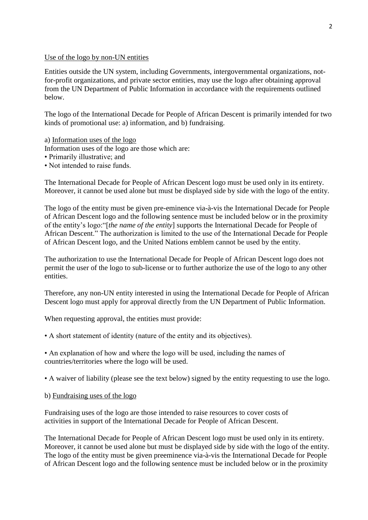#### Use of the logo by non-UN entities

Entities outside the UN system, including Governments, intergovernmental organizations, notfor-profit organizations, and private sector entities, may use the logo after obtaining approval from the UN Department of Public Information in accordance with the requirements outlined below.

The logo of the International Decade for People of African Descent is primarily intended for two kinds of promotional use: a) information, and b) fundraising.

a) Information uses of the logo Information uses of the logo are those which are: • Primarily illustrative; and

• Not intended to raise funds.

The International Decade for People of African Descent logo must be used only in its entirety. Moreover, it cannot be used alone but must be displayed side by side with the logo of the entity.

The logo of the entity must be given pre-eminence via-à-vis the International Decade for People of African Descent logo and the following sentence must be included below or in the proximity of the entity's logo:"[*the name of the entity*] supports the International Decade for People of African Descent." The authorization is limited to the use of the International Decade for People of African Descent logo, and the United Nations emblem cannot be used by the entity.

The authorization to use the International Decade for People of African Descent logo does not permit the user of the logo to sub-license or to further authorize the use of the logo to any other entities.

Therefore, any non-UN entity interested in using the International Decade for People of African Descent logo must apply for approval directly from the UN Department of Public Information.

When requesting approval, the entities must provide:

• A short statement of identity (nature of the entity and its objectives).

• An explanation of how and where the logo will be used, including the names of countries/territories where the logo will be used.

• A waiver of liability (please see the text below) signed by the entity requesting to use the logo.

b) Fundraising uses of the logo

Fundraising uses of the logo are those intended to raise resources to cover costs of activities in support of the International Decade for People of African Descent.

The International Decade for People of African Descent logo must be used only in its entirety. Moreover, it cannot be used alone but must be displayed side by side with the logo of the entity. The logo of the entity must be given preeminence via-à-vis the International Decade for People of African Descent logo and the following sentence must be included below or in the proximity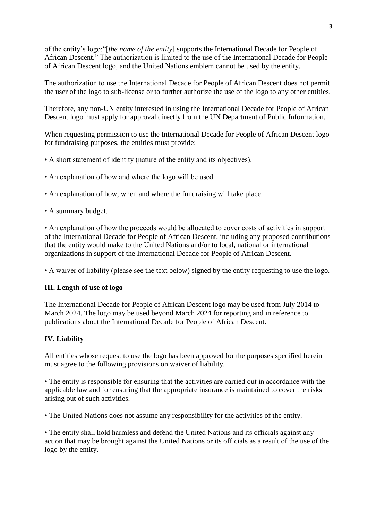of the entity's logo:"[*the name of the entity*] supports the International Decade for People of African Descent." The authorization is limited to the use of the International Decade for People of African Descent logo, and the United Nations emblem cannot be used by the entity.

The authorization to use the International Decade for People of African Descent does not permit the user of the logo to sub-license or to further authorize the use of the logo to any other entities.

Therefore, any non-UN entity interested in using the International Decade for People of African Descent logo must apply for approval directly from the UN Department of Public Information.

When requesting permission to use the International Decade for People of African Descent logo for fundraising purposes, the entities must provide:

- A short statement of identity (nature of the entity and its objectives).
- An explanation of how and where the logo will be used.
- An explanation of how, when and where the fundraising will take place.
- A summary budget.

• An explanation of how the proceeds would be allocated to cover costs of activities in support of the International Decade for People of African Descent, including any proposed contributions that the entity would make to the United Nations and/or to local, national or international organizations in support of the International Decade for People of African Descent.

• A waiver of liability (please see the text below) signed by the entity requesting to use the logo.

### **III. Length of use of logo**

The International Decade for People of African Descent logo may be used from July 2014 to March 2024. The logo may be used beyond March 2024 for reporting and in reference to publications about the International Decade for People of African Descent.

### **IV. Liability**

All entities whose request to use the logo has been approved for the purposes specified herein must agree to the following provisions on waiver of liability.

• The entity is responsible for ensuring that the activities are carried out in accordance with the applicable law and for ensuring that the appropriate insurance is maintained to cover the risks arising out of such activities.

• The United Nations does not assume any responsibility for the activities of the entity.

• The entity shall hold harmless and defend the United Nations and its officials against any action that may be brought against the United Nations or its officials as a result of the use of the logo by the entity.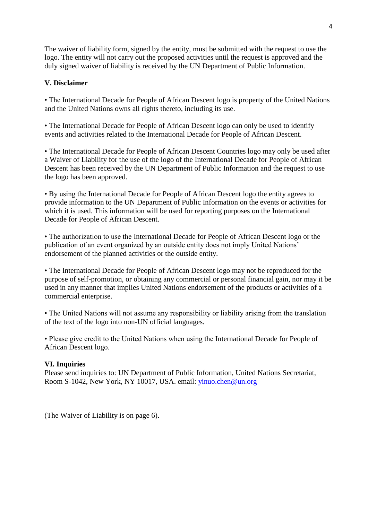The waiver of liability form, signed by the entity, must be submitted with the request to use the logo. The entity will not carry out the proposed activities until the request is approved and the duly signed waiver of liability is received by the UN Department of Public Information.

### **V. Disclaimer**

• The International Decade for People of African Descent logo is property of the United Nations and the United Nations owns all rights thereto, including its use.

• The International Decade for People of African Descent logo can only be used to identify events and activities related to the International Decade for People of African Descent.

• The International Decade for People of African Descent Countries logo may only be used after a Waiver of Liability for the use of the logo of the International Decade for People of African Descent has been received by the UN Department of Public Information and the request to use the logo has been approved.

• By using the International Decade for People of African Descent logo the entity agrees to provide information to the UN Department of Public Information on the events or activities for which it is used. This information will be used for reporting purposes on the International Decade for People of African Descent.

• The authorization to use the International Decade for People of African Descent logo or the publication of an event organized by an outside entity does not imply United Nations' endorsement of the planned activities or the outside entity.

• The International Decade for People of African Descent logo may not be reproduced for the purpose of self-promotion, or obtaining any commercial or personal financial gain, nor may it be used in any manner that implies United Nations endorsement of the products or activities of a commercial enterprise.

• The United Nations will not assume any responsibility or liability arising from the translation of the text of the logo into non-UN official languages*.*

• Please give credit to the United Nations when using the International Decade for People of African Descent logo.

### **VI. Inquiries**

Please send inquiries to: UN Department of Public Information, United Nations Secretariat, Room S-1042, New York, NY 10017, USA. email: [yinuo.chen@un.org](mailto:yinuo.chen@un.org)

(The Waiver of Liability is on page 6).